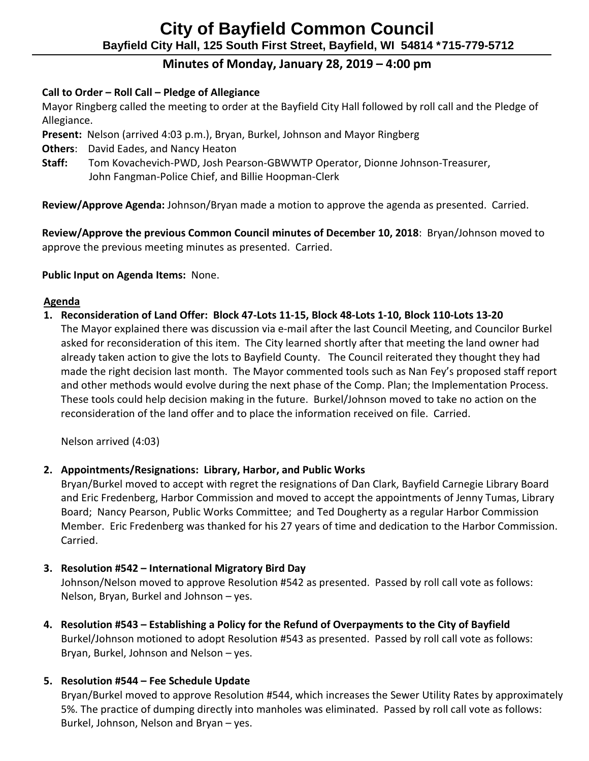# **City of Bayfield Common Council Bayfield City Hall, 125 South First Street, Bayfield, WI 54814 \*715-779-5712**

## **Minutes of Monday, January 28, 2019 – 4:00 pm**

#### **Call to Order – Roll Call – Pledge of Allegiance**

 Mayor Ringberg called the meeting to order at the Bayfield City Hall followed by roll call and the Pledge of Allegiance.

**Present:** Nelson (arrived 4:03 p.m.), Bryan, Burkel, Johnson and Mayor Ringberg

- **Others**: David Eades, and Nancy Heaton
- **Staff:** Tom Kovachevich-PWD, Josh Pearson-GBWWTP Operator, Dionne Johnson-Treasurer, John Fangman-Police Chief, and Billie Hoopman-Clerk

 **Review/Approve Agenda:** Johnson/Bryan made a motion to approve the agenda as presented. Carried.

 **Review/Approve the previous Common Council minutes of December 10, 2018**: Bryan/Johnson moved to approve the previous meeting minutes as presented. Carried.

#### **Public Input on Agenda Items:** None.

#### **Agenda**

**1. Reconsideration of Land Offer: Block 47-Lots 11-15, Block 48-Lots 1-10, Block 110-Lots 13-20** The Mayor explained there was discussion via e-mail after the last Council Meeting, and Councilor Burkel asked for reconsideration of this item. The City learned shortly after that meeting the land owner had already taken action to give the lots to Bayfield County. The Council reiterated they thought they had made the right decision last month. The Mayor commented tools such as Nan Fey's proposed staff report and other methods would evolve during the next phase of the Comp. Plan; the Implementation Process. These tools could help decision making in the future. Burkel/Johnson moved to take no action on the reconsideration of the land offer and to place the information received on file. Carried.

Nelson arrived (4:03)

## **2. Appointments/Resignations: Library, Harbor, and Public Works**

Bryan/Burkel moved to accept with regret the resignations of Dan Clark, Bayfield Carnegie Library Board and Eric Fredenberg, Harbor Commission and moved to accept the appointments of Jenny Tumas, Library Board; Nancy Pearson, Public Works Committee; and Ted Dougherty as a regular Harbor Commission Member. Eric Fredenberg was thanked for his 27 years of time and dedication to the Harbor Commission. Carried.

## **3. Resolution #542 – International Migratory Bird Day**

Johnson/Nelson moved to approve Resolution #542 as presented. Passed by roll call vote as follows: Nelson, Bryan, Burkel and Johnson – yes.

**4. Resolution #543 – Establishing a Policy for the Refund of Overpayments to the City of Bayfield** Burkel/Johnson motioned to adopt Resolution #543 as presented. Passed by roll call vote as follows: Bryan, Burkel, Johnson and Nelson – yes.

## **5. Resolution #544 – Fee Schedule Update**

Bryan/Burkel moved to approve Resolution #544, which increases the Sewer Utility Rates by approximately 5%. The practice of dumping directly into manholes was eliminated. Passed by roll call vote as follows: Burkel, Johnson, Nelson and Bryan – yes.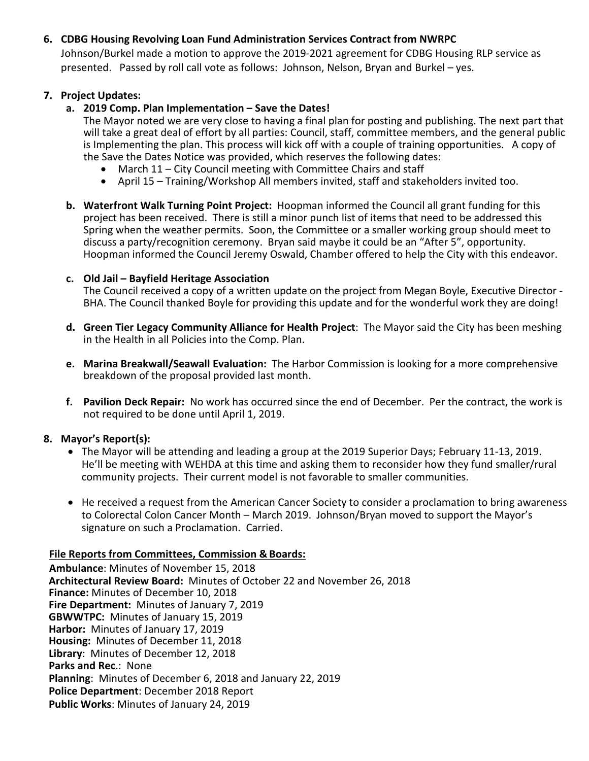#### **6. CDBG Housing Revolving Loan Fund Administration Services Contract from NWRPC**

Johnson/Burkel made a motion to approve the 2019-2021 agreement for CDBG Housing RLP service as presented. Passed by roll call vote as follows: Johnson, Nelson, Bryan and Burkel – yes.

#### **7. Project Updates:**

#### **a. 2019 Comp. Plan Implementation – Save the Dates!**

The Mayor noted we are very close to having a final plan for posting and publishing. The next part that will take a great deal of effort by all parties: Council, staff, committee members, and the general public is Implementing the plan. This process will kick off with a couple of training opportunities. A copy of the Save the Dates Notice was provided, which reserves the following dates:

- March 11 City Council meeting with Committee Chairs and staff
- April 15 Training/Workshop All members invited, staff and stakeholders invited too.
- **b. Waterfront Walk Turning Point Project:** Hoopman informed the Council all grant funding for this project has been received. There is still a minor punch list of items that need to be addressed this Spring when the weather permits. Soon, the Committee or a smaller working group should meet to discuss a party/recognition ceremony. Bryan said maybe it could be an "After 5", opportunity. Hoopman informed the Council Jeremy Oswald, Chamber offered to help the City with this endeavor.

#### **c. Old Jail – Bayfield Heritage Association**

The Council received a copy of a written update on the project from Megan Boyle, Executive Director - BHA. The Council thanked Boyle for providing this update and for the wonderful work they are doing!

- **d. Green Tier Legacy Community Alliance for Health Project**: The Mayor said the City has been meshing in the Health in all Policies into the Comp. Plan.
- **e. Marina Breakwall/Seawall Evaluation:** The Harbor Commission is looking for a more comprehensive breakdown of the proposal provided last month.
- **f. Pavilion Deck Repair:** No work has occurred since the end of December. Per the contract, the work is not required to be done until April 1, 2019.

#### **8. Mayor's Report(s):**

- The Mayor will be attending and leading a group at the 2019 Superior Days; February 11-13, 2019. He'll be meeting with WEHDA at this time and asking them to reconsider how they fund smaller/rural community projects. Their current model is not favorable to smaller communities.
- He received a request from the American Cancer Society to consider a proclamation to bring awareness to Colorectal Colon Cancer Month – March 2019. Johnson/Bryan moved to support the Mayor's signature on such a Proclamation. Carried.

#### **File Reports from Committees, Commission & Boards:**

**Ambulance**: Minutes of November 15, 2018 **Architectural Review Board:** Minutes of October 22 and November 26, 2018 **Finance:** Minutes of December 10, 2018 **Fire Department:** Minutes of January 7, 2019 **GBWWTPC:** Minutes of January 15, 2019 **Harbor:** Minutes of January 17, 2019 **Housing:** Minutes of December 11, 2018 **Library**: Minutes of December 12, 2018 **Parks and Rec**.: None **Planning**: Minutes of December 6, 2018 and January 22, 2019 **Police Department**: December 2018 Report **Public Works**: Minutes of January 24, 2019